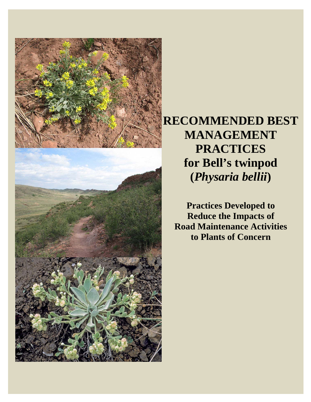



**RECOMMENDED BEST MANAGEMENT PRACTICES for Bell's twinpod (***Physaria bellii***)** 

**Practices Developed to Reduce the Impacts of Road Maintenance Activities to Plants of Concern**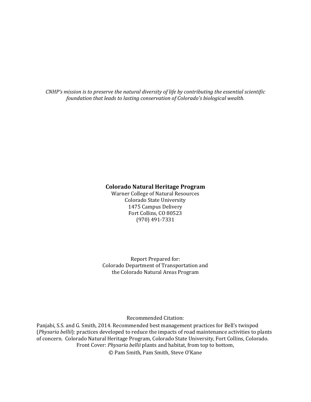*CNHP's mission is to preserve the natural diversity of life by contributing the essential scientific foundation that leads to lasting conservation of Colorado's biological wealth.*

#### **Colorado Natural Heritage Program**

Warner College of Natural Resources Colorado State University 1475 Campus Delivery Fort Collins, CO 80523 (970) 491‐7331 

Report Prepared for: Colorado Department of Transportation and the Colorado Natural Areas Program

Recommended Citation: 

Panjabi, S.S. and G. Smith, 2014. Recommended best management practices for Bell's twinpod (*Physaria bellii*): practices developed to reduce the impacts of road maintenance activities to plants of concern. Colorado Natural Heritage Program, Colorado State University, Fort Collins, Colorado. Front Cover: *Physaria bellii* plants and habitat, from top to bottom, © Pam Smith, Pam Smith, Steve O'Kane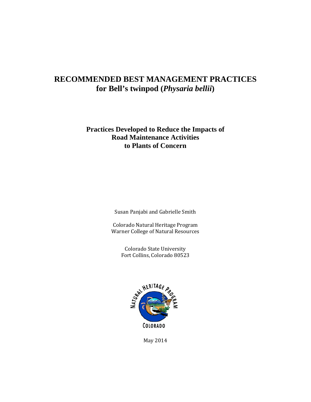#### **RECOMMENDED BEST MANAGEMENT PRACTICES for Bell's twinpod (***Physaria bellii***)**

#### **Practices Developed to Reduce the Impacts of Road Maintenance Activities to Plants of Concern**

Susan Panjabi and Gabrielle Smith

Colorado Natural Heritage Program Warner College of Natural Resources

> Colorado State University Fort Collins, Colorado 80523



May 2014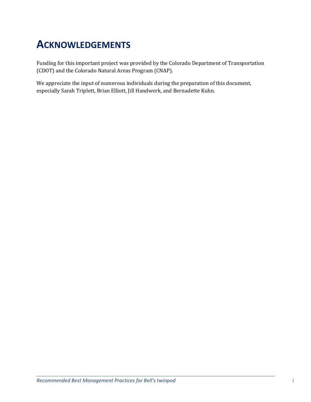## **ACKNOWLEDGEMENTS**

Funding for this important project was provided by the Colorado Department of Transportation (CDOT) and the Colorado Natural Areas Program (CNAP).

We appreciate the input of numerous individuals during the preparation of this document, especially Sarah Triplett, Brian Elliott, Jill Handwerk, and Bernadette Kuhn.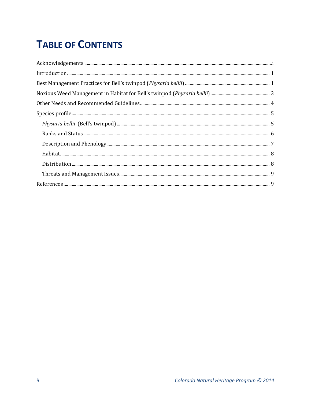# **TABLE OF CONTENTS**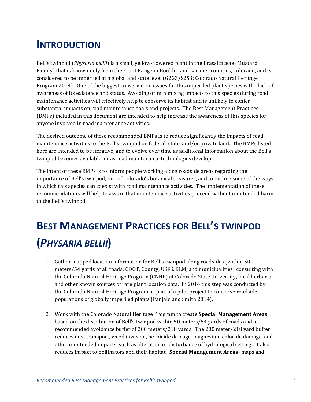### **INTRODUCTION**

Bell's twinpod (*Physaria bellii*) is a small, yellow-flowered plant in the Brassicaceae (Mustard Family) that is known only from the Front Range in Boulder and Larimer counties, Colorado, and is considered to be imperiled at a global and state level (G2G3/S2S3; Colorado Natural Heritage Program 2014). One of the biggest conservation issues for this imperiled plant species is the lack of awareness of its existence and status. Avoiding or minimizing impacts to this species during road maintenance activities will effectively help to conserve its habitat and is unlikely to confer substantial impacts on road maintenance goals and projects. The Best Management Practices (BMPs) included in this document are intended to help increase the awareness of this species for anyone involved in road maintenance activities.

The desired outcome of these recommended BMPs is to reduce significantly the impacts of road maintenance activities to the Bell's twinpod on federal, state, and/or private land. The BMPs listed here are intended to be iterative, and to evolve over time as additional information about the Bell's twinpod becomes available, or as road maintenance technologies develop.

The intent of these BMPs is to inform people working along roadside areas regarding the importance of Bell's twinpod, one of Colorado's botanical treasures, and to outline some of the ways in which this species can coexist with road maintenance activities. The implementation of these recommendations will help to assure that maintenance activities proceed without unintended harm to the Bell's twinpod.

# **BEST MANAGEMENT PRACTICES FOR BELL'S TWINPOD (***PHYSARIA BELLII***)**

- 1. Gather mapped location information for Bell's twinpod along roadsides (within 50) meters/54 yards of all roads: CDOT, County, USFS, BLM, and municipalities) consulting with the Colorado Natural Heritage Program (CNHP) at Colorado State University, local herbaria, and other known sources of rare plant location data. In 2014 this step was conducted by the Colorado Natural Heritage Program as part of a pilot project to conserve roadside populations of globally imperiled plants (Panjabi and Smith 2014).
- 2. Work with the Colorado Natural Heritage Program to create **Special Management Areas** based on the distribution of Bell's twinpod within 50 meters/54 yards of roads and a recommended avoidance buffer of 200 meters/218 yards. The 200 meter/218 yard buffer reduces dust transport, weed invasion, herbicide damage, magnesium chloride damage, and other unintended impacts, such as alteration or disturbance of hydrological setting. It also reduces impact to pollinators and their habitat. **Special Management Areas** (maps and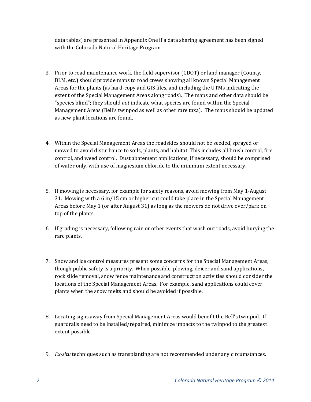data tables) are presented in Appendix One if a data sharing agreement has been signed with the Colorado Natural Heritage Program.

- 3. Prior to road maintenance work, the field supervisor (CDOT) or land manager (County, BLM, etc.) should provide maps to road crews showing all known Special Management Areas for the plants (as hard-copy and GIS files, and including the UTMs indicating the extent of the Special Management Areas along roads). The maps and other data should be "species blind"; they should *not* indicate what species are found within the Special Management Areas (Bell's twinpod as well as other rare taxa). The maps should be updated as new plant locations are found.
- 4. Within the Special Management Areas the roadsides should not be seeded, sprayed or mowed to avoid disturbance to soils, plants, and habitat. This includes all brush control, fire control, and weed control. Dust abatement applications, if necessary, should be comprised of water only, with use of magnesium chloride to the minimum extent necessary.
- 5. If mowing is necessary, for example for safety reasons, avoid mowing from May 1-August 31. Mowing with a 6 in/15 cm or higher cut could take place in the Special Management Areas before May 1 (or after August 31) as long as the mowers do not drive over/park on top of the plants.
- 6. If grading is necessary, following rain or other events that wash out roads, avoid burying the rare plants.
- 7. Snow and ice control measures present some concerns for the Special Management Areas, though public safety is a priority. When possible, plowing, deicer and sand applications, rock slide removal, snow fence maintenance and construction activities should consider the locations of the Special Management Areas. For example, sand applications could cover plants when the snow melts and should be avoided if possible.
- 8. Locating signs away from Special Management Areas would benefit the Bell's twinpod. If guardrails need to be installed/repaired, minimize impacts to the twinpod to the greatest extent possible.
- 9. *Ex-situ* techniques such as transplanting are not recommended under any circumstances.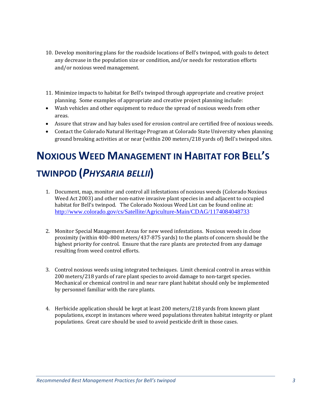- 10. Develop monitoring plans for the roadside locations of Bell's twinpod, with goals to detect any decrease in the population size or condition, and/or needs for restoration efforts and/or noxious weed management.
- 11. Minimize impacts to habitat for Bell's twinpod through appropriate and creative project planning. Some examples of appropriate and creative project planning include:
- Wash vehicles and other equipment to reduce the spread of noxious weeds from other areas.
- Assure that straw and hay bales used for erosion control are certified free of noxious weeds.
- Contact the Colorado Natural Heritage Program at Colorado State University when planning ground breaking activities at or near (within 200 meters/218 yards of) Bell's twinpod sites.

# **NOXIOUS WEED MANAGEMENT IN HABITAT FOR BELL'S TWINPOD (***PHYSARIA BELLII***)**

- 1. Document, map, monitor and control all infestations of noxious weeds (Colorado Noxious Weed Act 2003) and other non-native invasive plant species in and adjacent to occupied habitat for Bell's twinpod. The Colorado Noxious Weed List can be found online at: http://www.colorado.gov/cs/Satellite/Agriculture-Main/CDAG/1174084048733
- 2. Monitor Special Management Areas for new weed infestations. Noxious weeds in close proximity (within  $400-800$  meters/437-875 yards) to the plants of concern should be the highest priority for control. Ensure that the rare plants are protected from any damage resulting from weed control efforts.
- 3. Control noxious weeds using integrated techniques. Limit chemical control in areas within 200 meters/218 yards of rare plant species to avoid damage to non-target species. Mechanical or chemical control in and near rare plant habitat should only be implemented by personnel familiar with the rare plants.
- 4. Herbicide application should be kept at least 200 meters/218 yards from known plant populations, except in instances where weed populations threaten habitat integrity or plant populations. Great care should be used to avoid pesticide drift in those cases.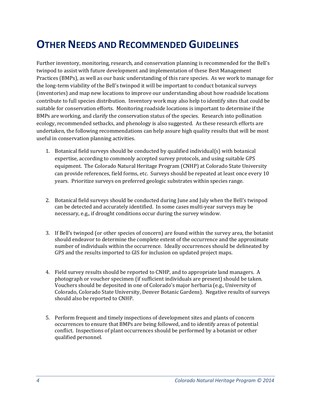## **OTHER NEEDS AND RECOMMENDED GUIDELINES**

Further inventory, monitoring, research, and conservation planning is recommended for the Bell's twinpod to assist with future development and implementation of these Best Management Practices (BMPs), as well as our basic understanding of this rare species. As we work to manage for the long-term viability of the Bell's twinpod it will be important to conduct botanical surveys (inventories) and map new locations to improve our understanding about how roadside locations contribute to full species distribution. Inventory work may also help to identify sites that could be suitable for conservation efforts. Monitoring roadside locations is important to determine if the BMPs are working, and clarify the conservation status of the species. Research into pollination ecology, recommended setbacks, and phenology is also suggested. As these research efforts are undertaken, the following recommendations can help assure high quality results that will be most useful in conservation planning activities.

- 1. Botanical field surveys should be conducted by qualified individual(s) with botanical expertise, according to commonly accepted survey protocols, and using suitable GPS equipment. The Colorado Natural Heritage Program (CNHP) at Colorado State University can provide references, field forms, etc. Surveys should be repeated at least once every 10 years. Prioritize surveys on preferred geologic substrates within species range.
- 2. Botanical field surveys should be conducted during June and July when the Bell's twinpod can be detected and accurately identified. In some cases multi-year surveys may be necessary, e.g., if drought conditions occur during the survey window.
- 3. If Bell's twinpod (or other species of concern) are found within the survey area, the botanist should endeavor to determine the complete extent of the occurrence and the approximate number of individuals within the occurrence. Ideally occurrences should be delineated by GPS and the results imported to GIS for inclusion on updated project maps.
- 4. Field survey results should be reported to CNHP, and to appropriate land managers. A photograph or voucher specimen (if sufficient individuals are present) should be taken. Vouchers should be deposited in one of Colorado's major herbaria (e.g., University of Colorado, Colorado State University, Denver Botanic Gardens). Negative results of surveys should also be reported to CNHP.
- 5. Perform frequent and timely inspections of development sites and plants of concern occurrences to ensure that BMPs are being followed, and to identify areas of potential conflict. Inspections of plant occurrences should be performed by a botanist or other qualified personnel.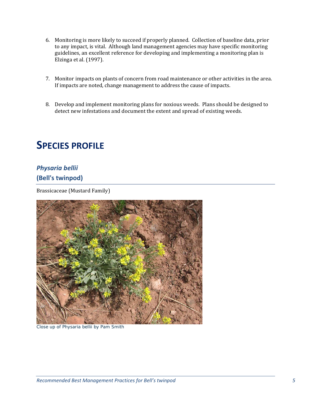- 6. Monitoring is more likely to succeed if properly planned. Collection of baseline data, prior to any impact, is vital. Although land management agencies may have specific monitoring guidelines, an excellent reference for developing and implementing a monitoring plan is Elzinga et al. (1997).
- 7. Monitor impacts on plants of concern from road maintenance or other activities in the area. If impacts are noted, change management to address the cause of impacts.
- 8. Develop and implement monitoring plans for noxious weeds. Plans should be designed to detect new infestations and document the extent and spread of existing weeds.

### **SPECIES PROFILE**

#### *Physaria bellii*

#### **(Bell's twinpod)**

Brassicaceae (Mustard Family)



Close up of *Physaria bellii* by Pam Smith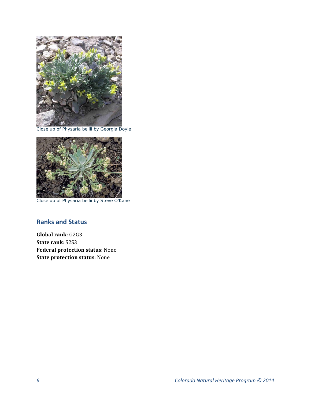

Close up of *Physaria bellii* by Georgia Doyle



Close up of *Physaria bellii* by Steve O'Kane

#### **Ranks and Status**

**Global rank**: G2G3 **State rank**: S2S3 **Federal protection status**: None **State protection status**: None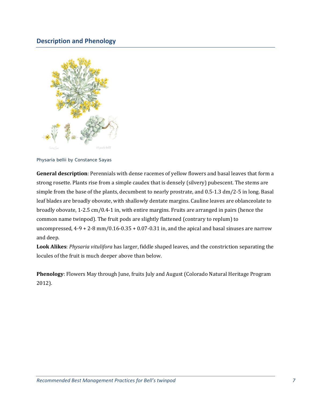#### **Description and Phenology**



*Physaria bellii* by Constance Sayas

**General description**: Perennials with dense racemes of yellow flowers and basal leaves that form a strong rosette. Plants rise from a simple caudex that is densely (silvery) pubescent. The stems are simple from the base of the plants, decumbent to nearly prostrate, and  $0.5-1.3 \text{ dm}/2-5$  in long. Basal leaf blades are broadly obovate, with shallowly dentate margins. Cauline leaves are oblanceolate to broadly obovate, 1-2.5 cm/0.4-1 in, with entire margins. Fruits are arranged in pairs (hence the common name twinpod). The fruit pods are slightly flattened (contrary to replum) to uncompressed,  $4-9 + 2-8$  mm/0.16-0.35 + 0.07-0.31 in, and the apical and basal sinuses are narrow and deep.

Look Alikes: *Physaria vitulifora* has larger, fiddle shaped leaves, and the constriction separating the locules of the fruit is much deeper above than below.

**Phenology**: Flowers May through June, fruits July and August (Colorado Natural Heritage Program 2012).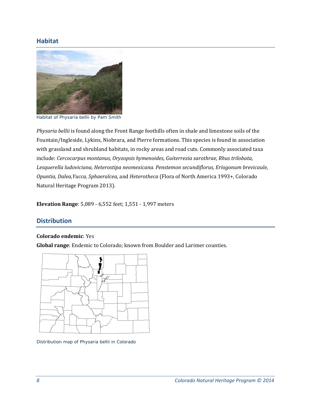#### **Habitat**



Habitat of *Physaria bellii* by Pam Smith

*Physaria bellii* is found along the Front Range foothills often in shale and limestone soils of the Fountain/Ingleside, Lykins, Niobrara, and Pierre formations. This species is found in association with grassland and shrubland habitats, in rocky areas and road cuts. Commonly associated taxa include: *Cercocarpus montanus, Oryzopsis hymenoides, Guiterrezia sarothrae, Rhus trilobata, Lesquerella ludoviciana, Heterostipa neomexicana. Penstemon secundiflorus, Eriogonum brevicaule, Opuntia, Dalea, Yucca, Sphaeralcea, and Heterotheca* (Flora of North America 1993+, Colorado Natural Heritage Program 2013).

**Elevation Range**: 5,089 - 6,552 feet; 1,551 - 1,997 meters

#### **Distribution**

#### **Colorado endemic**: Yes

**Global range:** Endemic to Colorado; known from Boulder and Larimer counties.



Distribution map of *Physaria bellii* in Colorado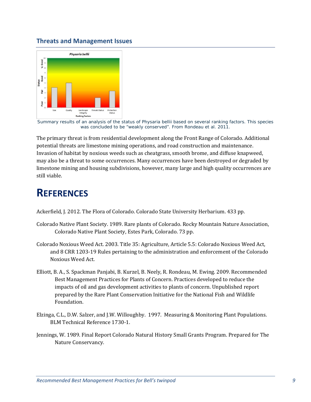#### **Threats and Management Issues**



Summary results of an analysis of the status of *Physaria bellii* based on several ranking factors. This species was concluded to be "weakly conserved". From Rondeau et al. 2011.

The primary threat is from residential development along the Front Range of Colorado. Additional potential threats are limestone mining operations, and road construction and maintenance. Invasion of habitat by noxious weeds such as cheatgrass, smooth brome, and diffuse knapweed, may also be a threat to some occurrences. Many occurrences have been destroyed or degraded by limestone mining and housing subdivisions, however, many large and high quality occurrences are still viable.

### **REFERENCES**

Ackerfield, J. 2012. The Flora of Colorado. Colorado State University Herbarium. 433 pp.

- Colorado Native Plant Society. 1989. Rare plants of Colorado. Rocky Mountain Nature Association, Colorado Native Plant Society, Estes Park, Colorado. 73 pp.
- Colorado Noxious Weed Act. 2003. Title 35: Agriculture, Article 5.5: Colorado Noxious Weed Act, and 8 CRR 1203-19 Rules pertaining to the administration and enforcement of the Colorado Noxious Weed Act.
- Elliott, B. A., S. Spackman Panjabi, B. Kurzel, B. Neely, R. Rondeau, M. Ewing. 2009. Recommended Best Management Practices for Plants of Concern. Practices developed to reduce the impacts of oil and gas development activities to plants of concern. Unpublished report prepared by the Rare Plant Conservation Initiative for the National Fish and Wildlife Foundation.
- Elzinga, C.L., D.W. Salzer, and J.W. Willoughby. 1997. Measuring & Monitoring Plant Populations. BLM Technical Reference 1730‐1.
- Jennings, W. 1989. Final Report Colorado Natural History Small Grants Program. Prepared for The Nature Conservancy.